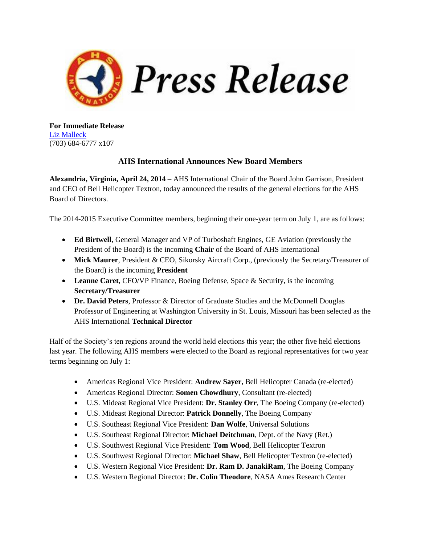

**For Immediate Release** [Liz Malleck](mailto:lmalleck@vtol.org) (703) 684-6777 x107

## **AHS International Announces New Board Members**

**Alexandria, Virginia, April 24, 2014 –** AHS International Chair of the Board John Garrison, President and CEO of Bell Helicopter Textron, today announced the results of the general elections for the AHS Board of Directors.

The 2014-2015 Executive Committee members, beginning their one-year term on July 1, are as follows:

- **Ed Birtwell**, General Manager and VP of Turboshaft Engines, GE Aviation (previously the President of the Board) is the incoming **Chair** of the Board of AHS International
- **Mick Maurer**, President & CEO, Sikorsky Aircraft Corp., (previously the Secretary/Treasurer of the Board) is the incoming **President**
- **Leanne Caret**, CFO/VP Finance, Boeing Defense, Space & Security, is the incoming **Secretary/Treasurer**
- **Dr. David Peters**, Professor & Director of Graduate Studies and the McDonnell Douglas Professor of Engineering at Washington University in St. Louis, Missouri has been selected as the AHS International **Technical Director**

Half of the Society's ten regions around the world held elections this year; the other five held elections last year. The following AHS members were elected to the Board as regional representatives for two year terms beginning on July 1:

- Americas Regional Vice President: **Andrew Sayer**, Bell Helicopter Canada (re-elected)
- Americas Regional Director: **Somen Chowdhury**, Consultant (re-elected)
- U.S. Mideast Regional Vice President: **Dr. Stanley Orr**, The Boeing Company (re-elected)
- U.S. Mideast Regional Director: **Patrick Donnelly**, The Boeing Company
- U.S. Southeast Regional Vice President: **Dan Wolfe**, Universal Solutions
- U.S. Southeast Regional Director: **Michael Deitchman**, Dept. of the Navy (Ret.)
- U.S. Southwest Regional Vice President: **Tom Wood**, Bell Helicopter Textron
- U.S. Southwest Regional Director: **Michael Shaw**, Bell Helicopter Textron (re-elected)
- U.S. Western Regional Vice President: **Dr. Ram D. JanakiRam**, The Boeing Company
- U.S. Western Regional Director: **Dr. Colin Theodore**, NASA Ames Research Center